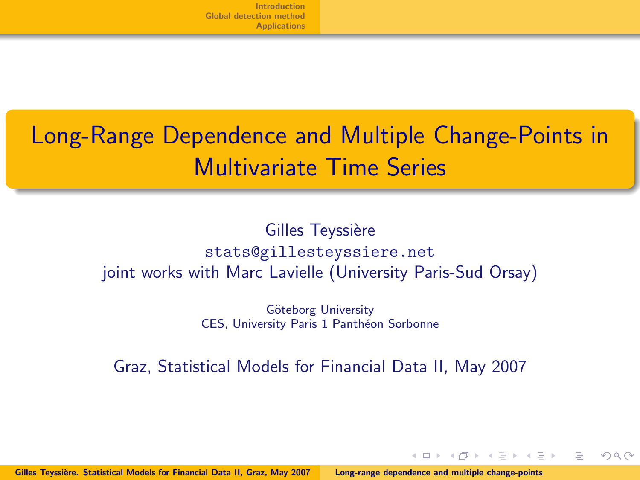# Long-Range Dependence and Multiple Change-Points in Multivariate Time Series

### Gilles Teyssière stats@gillesteyssiere.net joint works with Marc Lavielle (University Paris-Sud Orsay)

<span id="page-0-0"></span>Göteborg University CES, University Paris 1 Panthéon Sorbonne

Graz, Statistical Models for Financial Data II, May 2007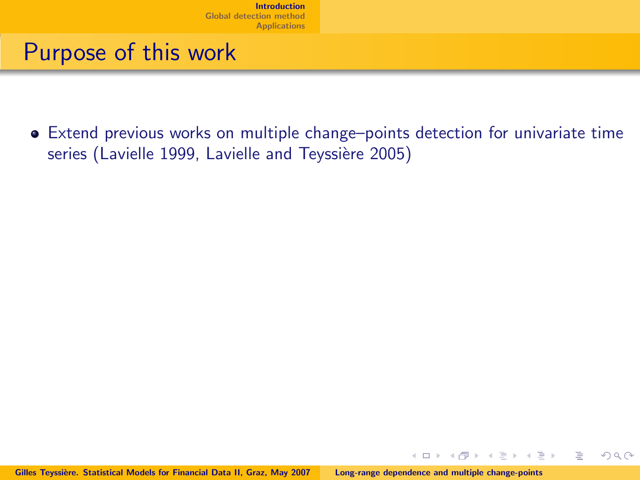## Purpose of this work

Extend previous works on multiple change–points detection for univariate time series (Lavielle 1999, Lavielle and Teyssière 2005)

 $\mathbb{B}$  +

<span id="page-1-0"></span> $\Omega$ 

 $\leftarrow$   $\Box$   $\rightarrow$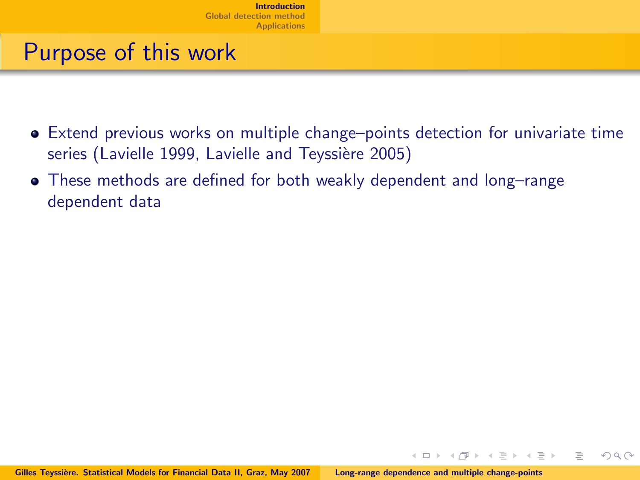- Extend previous works on multiple change–points detection for univariate time series (Lavielle 1999, Lavielle and Teyssière 2005)
- These methods are defined for both weakly dependent and long–range dependent data

 $\leftarrow$   $\Box$   $\rightarrow$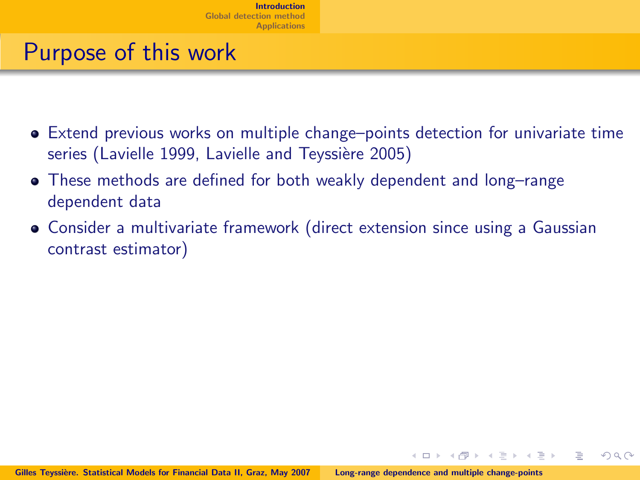- Extend previous works on multiple change–points detection for univariate time series (Lavielle 1999, Lavielle and Teyssière 2005)
- These methods are defined for both weakly dependent and long–range dependent data
- Consider a multivariate framework (direct extension since using a Gaussian contrast estimator)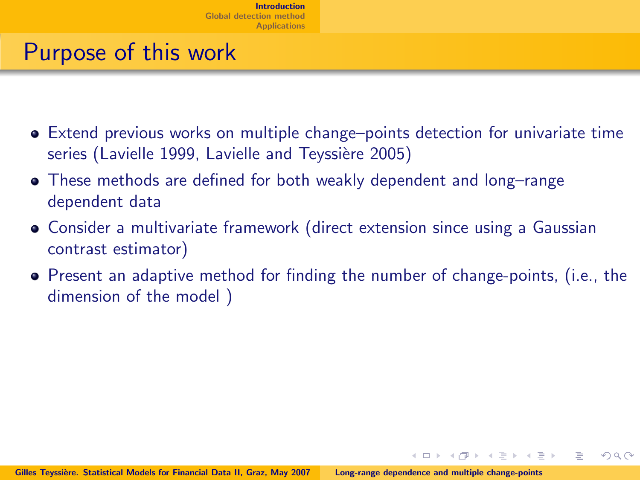- Extend previous works on multiple change–points detection for univariate time series (Lavielle 1999, Lavielle and Teyssière 2005)
- These methods are defined for both weakly dependent and long–range dependent data
- Consider a multivariate framework (direct extension since using a Gaussian contrast estimator)
- Present an adaptive method for finding the number of change-points, (i.e., the dimension of the model )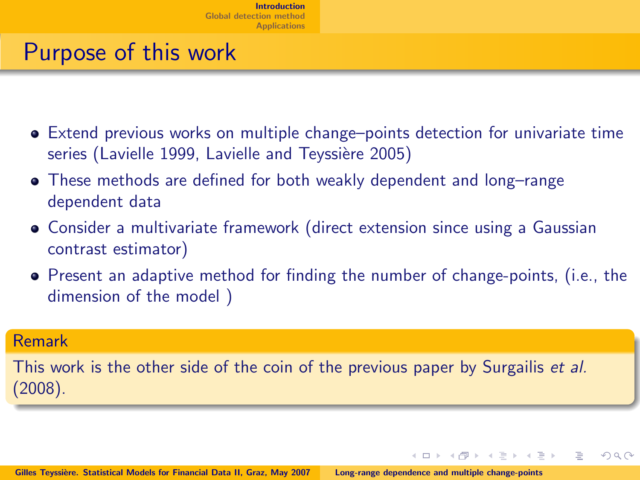- Extend previous works on multiple change–points detection for univariate time series (Lavielle 1999, Lavielle and Teyssière 2005)
- These methods are defined for both weakly dependent and long–range dependent data
- Consider a multivariate framework (direct extension since using a Gaussian contrast estimator)
- Present an adaptive method for finding the number of change-points, (i.e., the dimension of the model )

 $\Omega$ 

### Remark

This work is the other side of the coin of the previous paper by Surgailis *et al.* (2008).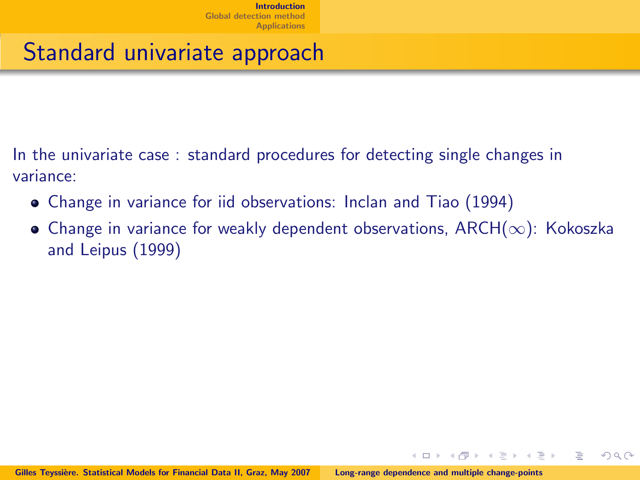## Standard univariate approach

In the univariate case : standard procedures for detecting single changes in variance:

- Change in variance for iid observations: Inclan and Tiao (1994)
- Change in variance for weakly dependent observations,  ${\sf ARCH}(\infty)$ : Kokoszka and Leipus (1999)

 $\leftarrow$   $\Box$   $\rightarrow$ 

 $\rightarrow$   $\equiv$   $\rightarrow$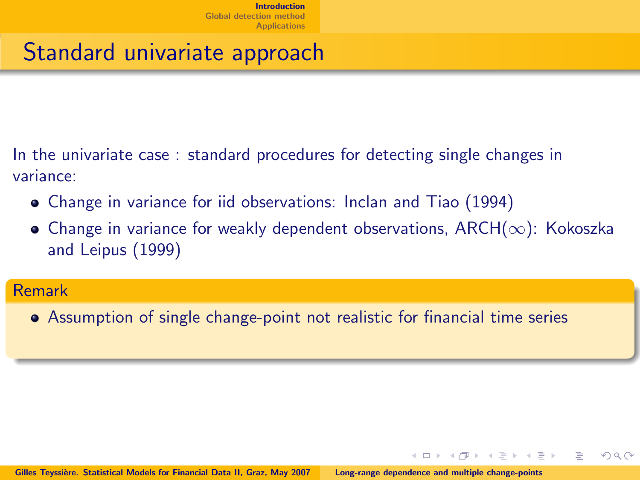## Standard univariate approach

In the univariate case : standard procedures for detecting single changes in variance:

- Change in variance for iid observations: Inclan and Tiao (1994)
- $\bullet$  Change in variance for weakly dependent observations, ARCH( $\infty$ ): Kokoszka and Leipus (1999)

 $\Omega$ 

### Remark

Assumption of single change-point not realistic for financial time series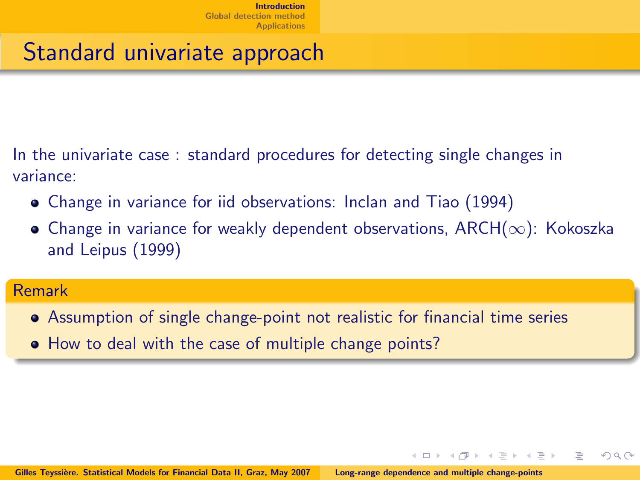## Standard univariate approach

In the univariate case : standard procedures for detecting single changes in variance:

- Change in variance for iid observations: Inclan and Tiao (1994)
- $\bullet$  Change in variance for weakly dependent observations, ARCH( $\infty$ ): Kokoszka and Leipus (1999)

 $\Omega$ 

### Remark

- Assumption of single change-point not realistic for financial time series
- How to deal with the case of multiple change points?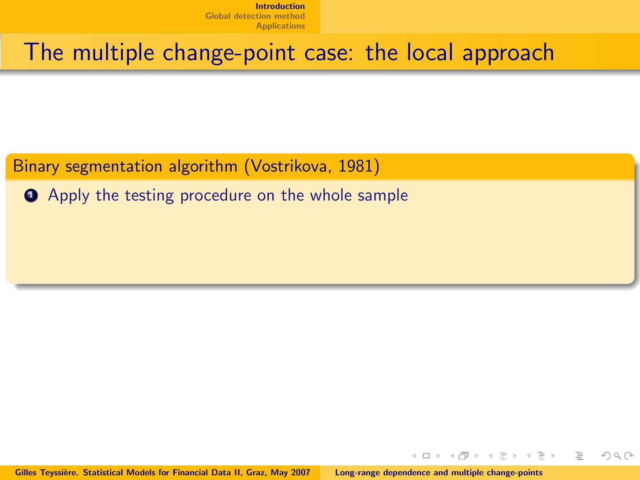The multiple change-point case: the local approach

Binary segmentation algorithm (Vostrikova, 1981)

**• Apply the testing procedure on the whole sample** 

 $\leftarrow$   $\Box$   $\rightarrow$ 

 $\Omega \cap \Omega$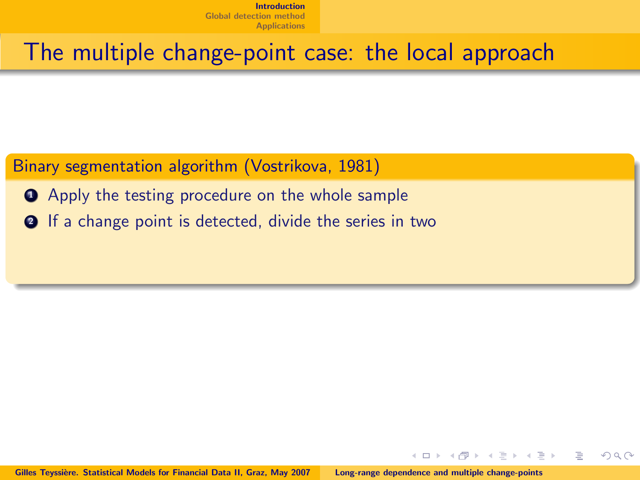### The multiple change-point case: the local approach

### Binary segmentation algorithm (Vostrikova, 1981)

- **Apply the testing procedure on the whole sample**
- **2** If a change point is detected, divide the series in two

 $\leftarrow$   $\Box$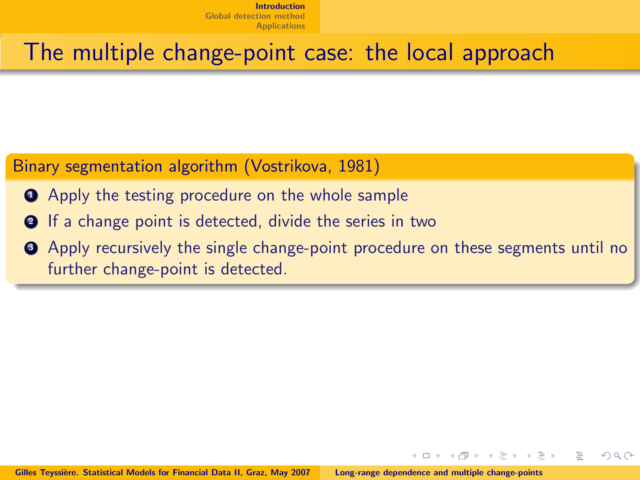### The multiple change-point case: the local approach

### Binary segmentation algorithm (Vostrikova, 1981)

- **Apply the testing procedure on the whole sample**
- **2** If a change point is detected, divide the series in two
- **3** Apply recursively the single change-point procedure on these segments until no further change-point is detected.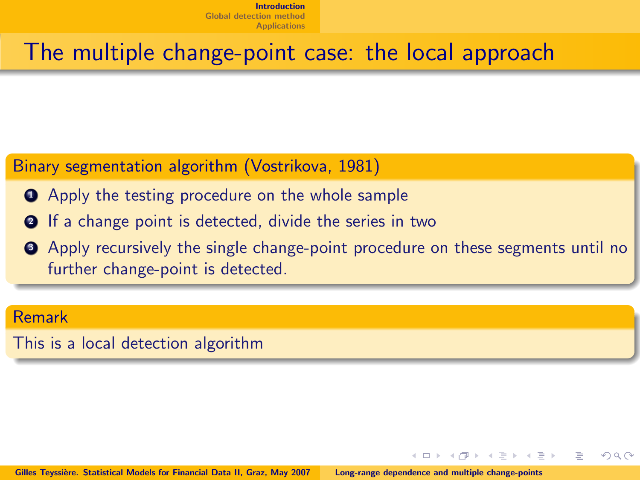### The multiple change-point case: the local approach

### Binary segmentation algorithm (Vostrikova, 1981)

- **Apply the testing procedure on the whole sample**
- **2** If a change point is detected, divide the series in two
- **3** Apply recursively the single change-point procedure on these segments until no further change-point is detected.

 $\Omega$ 

#### Remark

This is a local detection algorithm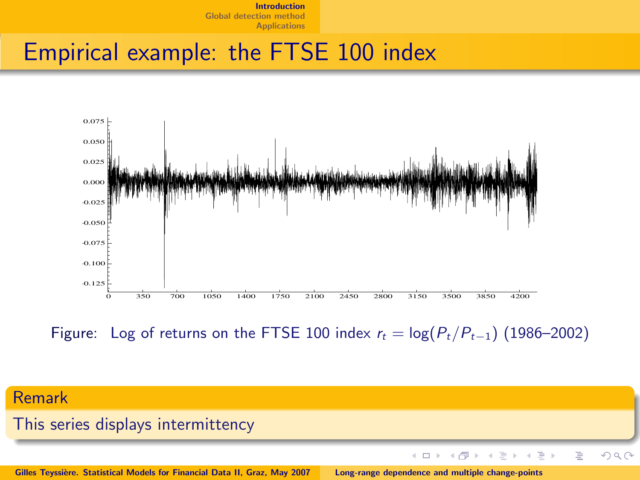## Empirical example: the FTSE 100 index



Figure: Log of returns on the FTSE 100 index  $r_t = \log(P_t/P_{t-1})$  (1986–2002)



Gilles Teyssière. Statistical Models for Financial Data II, Graz, May 2007 [Long-range dependence and multiple change-points](#page-0-0)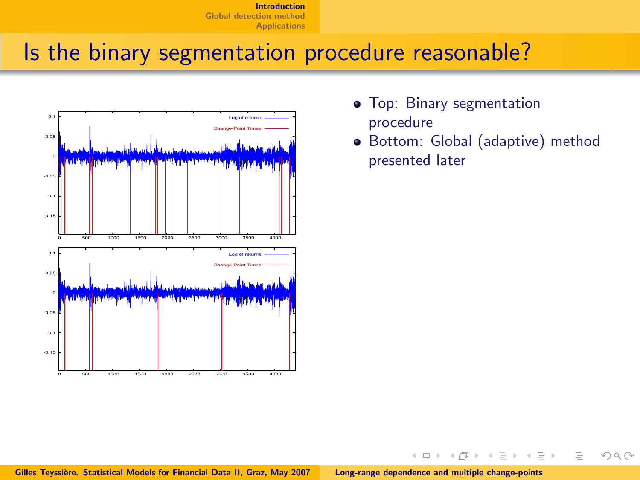## Is the binary segmentation procedure reasonable?



procedure

 $\leftarrow$ 

Bottom: Global (adaptive) method presented later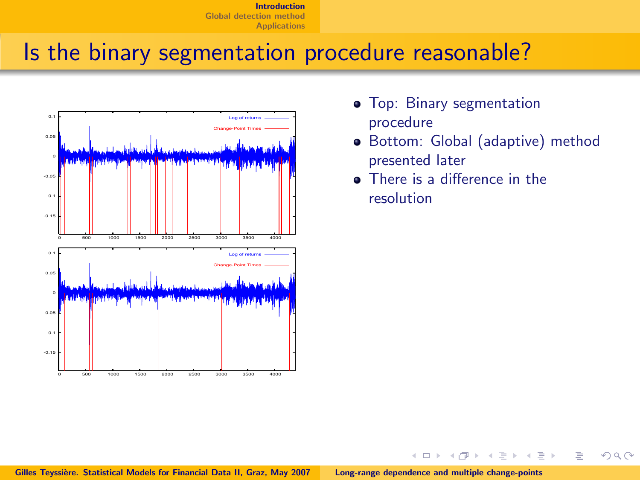## Is the binary segmentation procedure reasonable?



- procedure
- Bottom: Global (adaptive) method presented later
- **•** There is a difference in the resolution

 $\leftarrow$ 

 $\Omega \cap \Omega$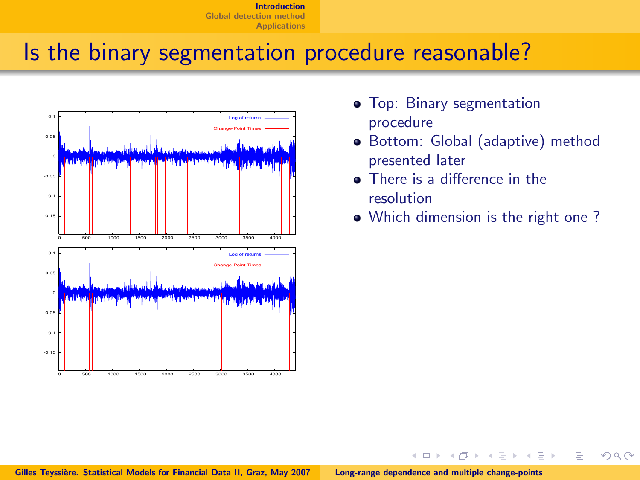## Is the binary segmentation procedure reasonable?



- procedure
- Bottom: Global (adaptive) method presented later
- **•** There is a difference in the resolution

 $\leftarrow$ 

Which dimension is the right one ?

 $\Omega \cap \Omega$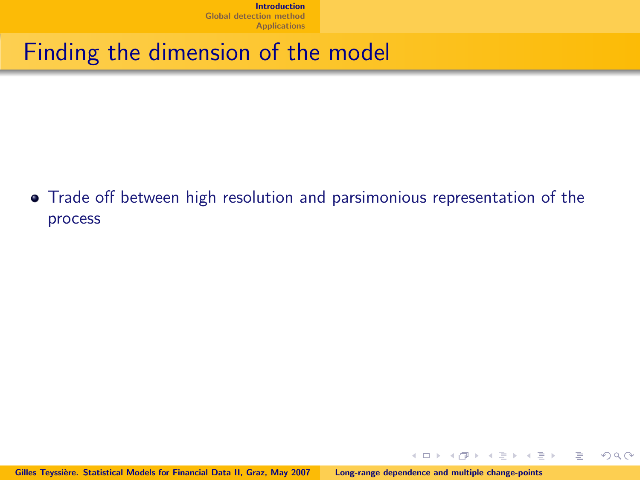## Finding the dimension of the model

Trade off between high resolution and parsimonious representation of the process

 $4.13 \times$ 

- 4 点 下

 $\rightarrow$   $\equiv$   $\rightarrow$ 

Þ

E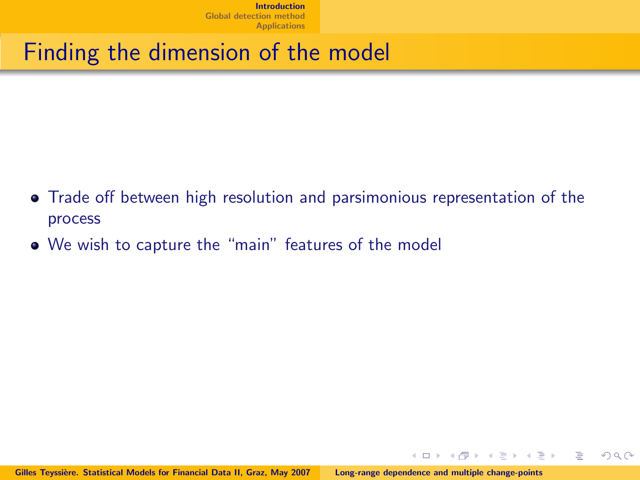## Finding the dimension of the model

- Trade off between high resolution and parsimonious representation of the process
- We wish to capture the "main" features of the model

 $\rightarrow$   $\equiv$   $\rightarrow$ 

Þ

 $\leftarrow$   $\Box$   $\rightarrow$ 

 $\leftarrow$   $\overline{m}$   $\rightarrow$ 

 $\Omega$ 

目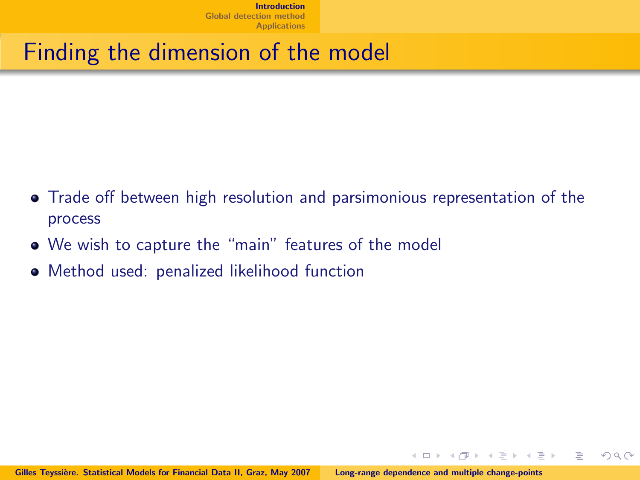# Finding the dimension of the model

- Trade off between high resolution and parsimonious representation of the process
- We wish to capture the "main" features of the model
- Method used: penalized likelihood function

 $\rightarrow$   $\equiv$   $\rightarrow$ 

∍

 $\Omega$ 

 $\leftarrow$   $\Box$   $\rightarrow$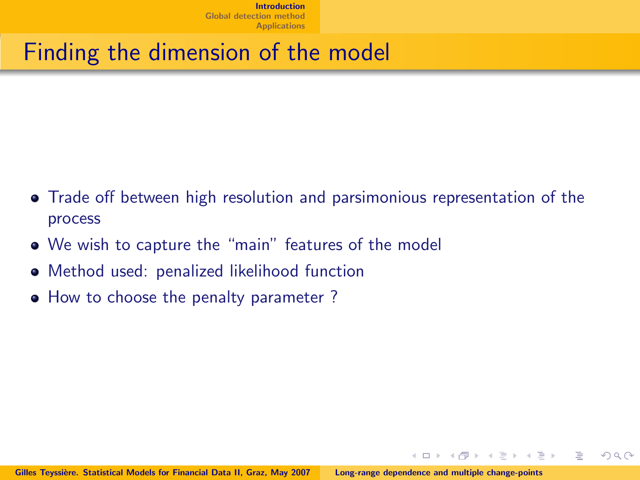# Finding the dimension of the model

- Trade off between high resolution and parsimonious representation of the process
- We wish to capture the "main" features of the model
- Method used: penalized likelihood function
- How to choose the penalty parameter?

 $\leftarrow$   $\Box$   $\rightarrow$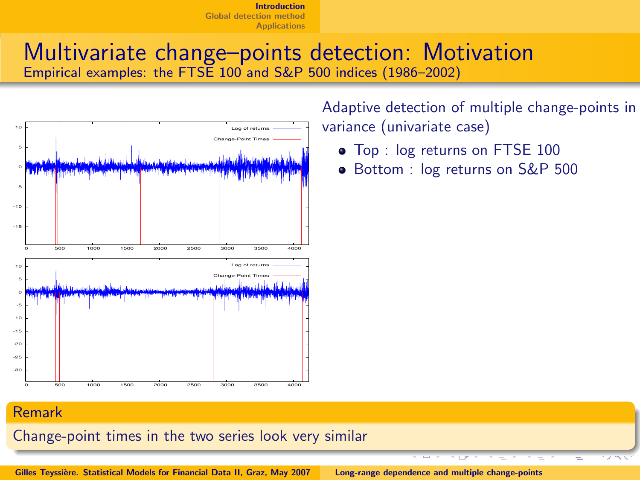### Multivariate change–points detection: Motivation Empirical examples: the FTSE 100 and S&P 500 indices (1986–2002)



variance (univariate case)

- $\bullet$  Top : log returns on FTSE 100
- Bottom : log returns on S&P 500

#### Remark

Change-point times in the two series look very similar

Gilles Teyssière. Statistical Models for Financial Data II, Graz, May 2007 [Long-range dependence and multiple change-points](#page-0-0)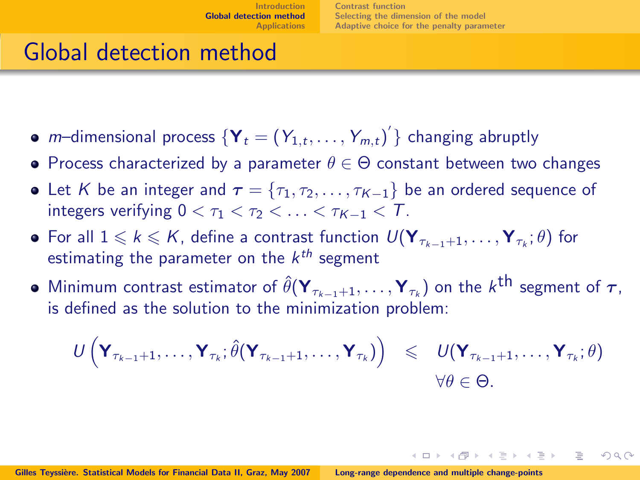イロト イ押ト イラト イラト

<span id="page-22-0"></span> $\Omega$ 

# Global detection method

- *m*–dimensional process  $\{Y_t = (Y_{1,t}, \ldots, Y_{m,t})'\}$  changing abruptly
- Process characterized by a parameter  $\theta \in \Theta$  constant between two changes
- Let K be an integer and  $\tau = \{\tau_1, \tau_2, \ldots, \tau_{K-1}\}$  be an ordered sequence of integers verifying  $0 < \tau_1 < \tau_2 < \ldots < \tau_{K-1} < T$ .
- For all  $1\leqslant k\leqslant K$ , define a contrast function  $\textsf{U}(\textbf{Y}_{\tau_{k-1}+1},\ldots,\textbf{Y}_{\tau_{k}};\theta)$  for estimating the parameter on the  $k^{th}$  segment
- Minimum contrast estimator of  $\hat{\theta}(\mathbf{Y}_{\tau_{k-1}+1},\dots,\mathbf{Y}_{\tau_{k}})$  on the  $k^{\text{th}}$  segment of  $\tau,$ is defined as the solution to the minimization problem:

$$
\begin{array}{rcl}\nU\left(\mathbf{Y}_{\tau_{k-1}+1},\ldots,\mathbf{Y}_{\tau_{k}};\hat{\theta}(\mathbf{Y}_{\tau_{k-1}+1},\ldots,\mathbf{Y}_{\tau_{k}})\right) & \leqslant & U(\mathbf{Y}_{\tau_{k-1}+1},\ldots,\mathbf{Y}_{\tau_{k}};\theta) \\
& \forall \theta \in \Theta.\n\end{array}
$$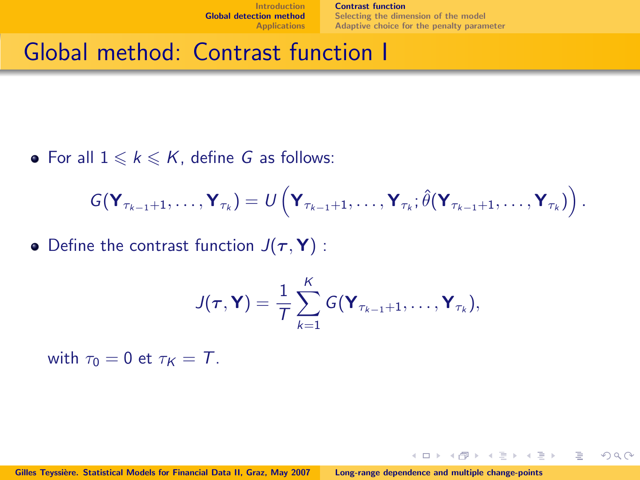[Contrast function](#page-23-0) [Selecting the dimension of the model](#page-31-0) [Adaptive choice for the penalty parameter](#page-32-0)

 $+$   $\Box$   $\rightarrow$   $+$   $\Box$   $\rightarrow$ 

 $\rightarrow$   $\equiv$   $\rightarrow$ 

<span id="page-23-0"></span> $\Omega$ 

÷.

## Global method: Contrast function I

• For all  $1 \leq k \leq K$ , define G as follows:

$$
G(\mathbf{Y}_{\tau_{k-1}+1},\ldots,\mathbf{Y}_{\tau_k})=\mathcal{U}\left(\mathbf{Y}_{\tau_{k-1}+1},\ldots,\mathbf{Y}_{\tau_k};\hat{\theta}(\mathbf{Y}_{\tau_{k-1}+1},\ldots,\mathbf{Y}_{\tau_k})\right).
$$

• Define the contrast function  $J(\tau, Y)$  :

$$
J(\boldsymbol{\tau},\mathbf{Y})=\frac{1}{T}\sum_{k=1}^K G(\mathbf{Y}_{\tau_{k-1}+1},\ldots,\mathbf{Y}_{\tau_k}),
$$

with  $\tau_0 = 0$  et  $\tau_K = T$ .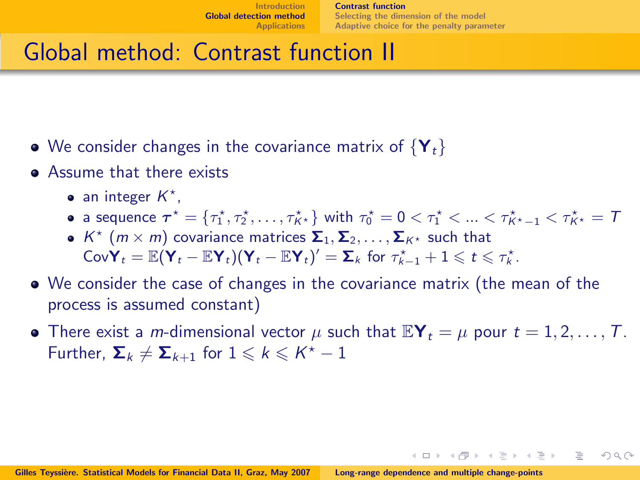イロト イ押ト イラト イラト

 $\Omega$ 

# Global method: Contrast function II

- We consider changes in the covariance matrix of  ${Y_t}$
- **Assume that there exists** 
	- an integer  $K^*$ ,
	- a sequence  $\bm{\tau}^\star = \{\tau_1^\star, \tau_2^\star, \ldots, \tau_{K^\star}^\star\}$  with  $\tau_0^\star = 0 < \tau_1^\star < ... < \tau_{K^\star-1}^\star < \tau_{K^\star}^\star = 1$
	- $K^{\star}$   $(m \times m)$  covariance matrices  $\mathbf{\Sigma}_1, \mathbf{\Sigma}_2, \ldots, \mathbf{\Sigma}_{K^{\star}}$  such that  $\mathsf{CovY}_t = \mathbb{E}(\mathsf{Y}_t - \mathbb{E}\mathsf{Y}_t)(\mathsf{Y}_t - \mathbb{E}\mathsf{Y}_t)' = \mathsf{\Sigma}_k \text{ for } \tau_{k-1}^{\star} + 1 \leqslant t \leqslant \tau_k^{\star}.$
- We consider the case of changes in the covariance matrix (the mean of the process is assumed constant)
- There exist a *m*-dimensional vector  $\mu$  such that  $\mathbb{E}Y_t = \mu$  pour  $t = 1, 2, \ldots, T$ . Further,  $\Sigma_k \neq \overline{\Sigma}_{k+1}$  for  $1 \leqslant k \leqslant K^{\star} - 1$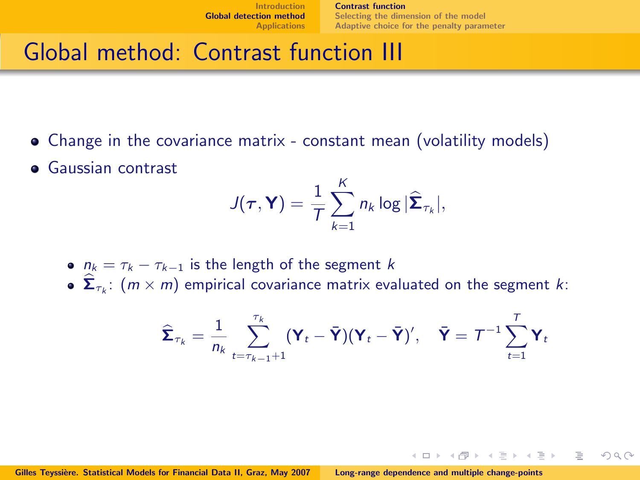$\leftarrow$   $\Box$   $\rightarrow$ 

 $\Omega$ 

# Global method: Contrast function III

- Change in the covariance matrix constant mean (volatility models)
- **Gaussian contrast**

$$
J(\tau, \mathbf{Y}) = \frac{1}{T} \sum_{k=1}^{K} n_k \log |\widehat{\mathbf{\Sigma}}_{\tau_k}|,
$$

- $n_k = \tau_k \tau_{k-1}$  is the length of the segment k
- $\mathbf{\Sigma}_{\tau_k}: (m \times m)$  empirical covariance matrix evaluated on the segment k:

$$
\widehat{\boldsymbol{\Sigma}}_{\tau_k} = \frac{1}{n_k} \sum_{t=\tau_{k-1}+1}^{\tau_k} (\mathbf{Y}_t - \bar{\mathbf{Y}})(\mathbf{Y}_t - \bar{\mathbf{Y}})^t, \quad \bar{\mathbf{Y}} = \mathcal{T}^{-1} \sum_{t=1}^T \mathbf{Y}_t
$$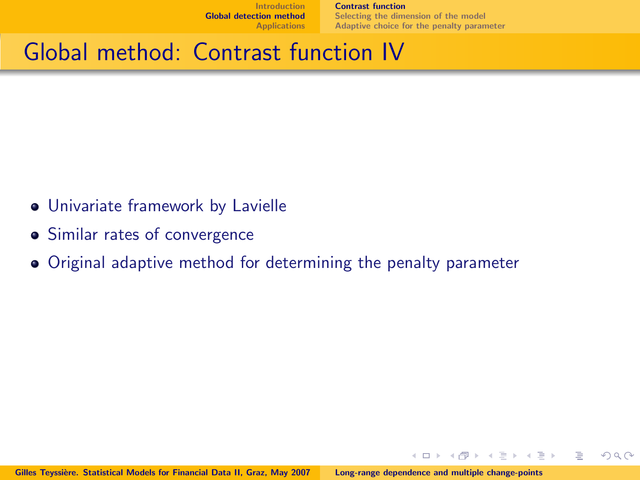[Contrast function](#page-23-0) [Selecting the dimension of the model](#page-31-0) [Adaptive choice for the penalty parameter](#page-32-0)

 $\leftarrow$   $\Box$   $\rightarrow$ 

 $\rightarrow$   $\Box$ 

重

 $\Rightarrow$   $\rightarrow$ 

 $\Omega$ 

# Global method: Contrast function IV

- Univariate framework by Lavielle
- **•** Similar rates of convergence
- Original adaptive method for determining the penalty parameter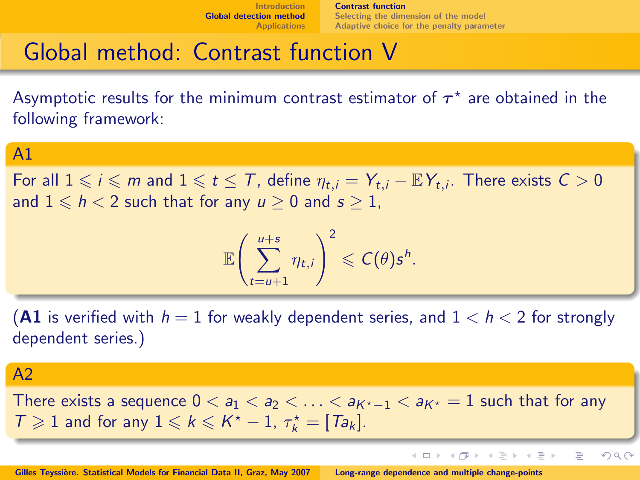イロト イ押ト イラト イラト

B

 $2Q$ 

# Global method: Contrast function V

Asymptotic results for the minimum contrast estimator of  $\boldsymbol{\tau}^\star$  are obtained in the following framework:

### A1

For all  $1 \leqslant i \leqslant m$  and  $1 \leqslant t \leqslant T$ , define  $\eta_{t,i} = Y_{t,i} - \mathbb{E}Y_{t,i}$ . There exists  $C > 0$ and  $1 \le h < 2$  such that for any  $u \ge 0$  and  $s \ge 1$ ,

$$
\mathbb{E}\left(\sum_{t=u+1}^{u+s}\eta_{t,i}\right)^2\leqslant C(\theta)s^h.
$$

(A1 is verified with  $h = 1$  for weakly dependent series, and  $1 < h < 2$  for strongly dependent series.)

#### $A<sub>2</sub>$

There exists a sequence  $0 < a_1 < a_2 < \ldots < a_{K^*-1} < a_{K^*} = 1$  such that for any  $T \geqslant 1$  and for any  $1 \leqslant k \leqslant K^{\star} - 1$ ,  $\tau_{k}^{\star} = [T a_{k}]$ .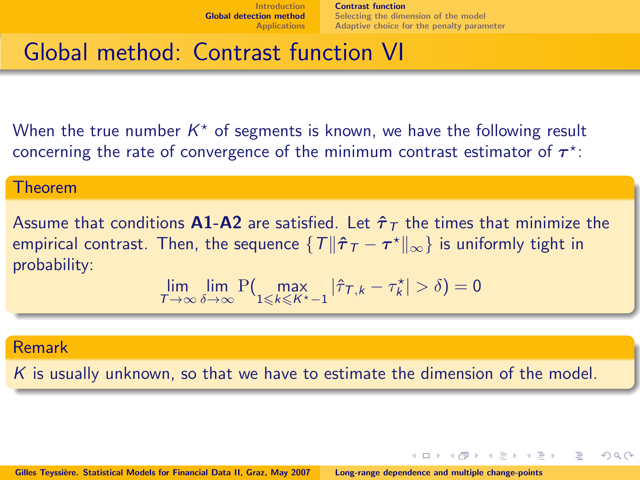[Contrast function](#page-23-0) [Selecting the dimension of the model](#page-31-0) [Adaptive choice for the penalty parameter](#page-32-0)

イロト イ押ト イラト イラト

 $\Omega$ 

# Global method: Contrast function VI

When the true number  $K^*$  of segments is known, we have the following result concerning the rate of convergence of the minimum contrast estimator of  $\tau^*$ :

#### Theorem

Assume that conditions **A1-A2** are satisfied. Let  $\hat{\tau}_T$  the times that minimize the empirical contrast. Then, the sequence  $\{T\|\hat{\boldsymbol{\tau}}_{\mathcal{T}} - \boldsymbol{\tau}^\star\|_\infty\}$  is uniformly tight in probability:

$$
\lim_{T\to\infty}\lim_{\delta\to\infty}{\rm P}\bigl(\max_{1\leqslant k\leqslant K^\star-1}|\hat\tau_{T,k}-\tau^\star_k|>\delta\bigr)=0
$$

### Remark

 $K$  is usually unknown, so that we have to estimate the dimension of the model.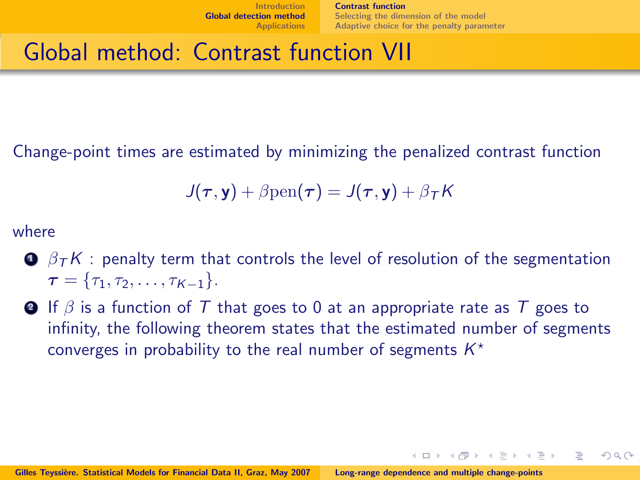イロト イ押ト イラト イラトー

 $\Omega$ 

# Global method: Contrast function VII

Change-point times are estimated by minimizing the penalized contrast function

$$
J(\tau, \mathbf{y}) + \beta \text{pen}(\tau) = J(\tau, \mathbf{y}) + \beta \tau K
$$

where

- $\bullet$   $\beta$ <sub>T</sub>K : penalty term that controls the level of resolution of the segmentation  $\tau = \{\tau_1, \tau_2, \ldots, \tau_{K-1}\}.$
- **4** If  $\beta$  is a function of T that goes to 0 at an appropriate rate as T goes to infinity, the following theorem states that the estimated number of segments converges in probability to the real number of segments  $K^*$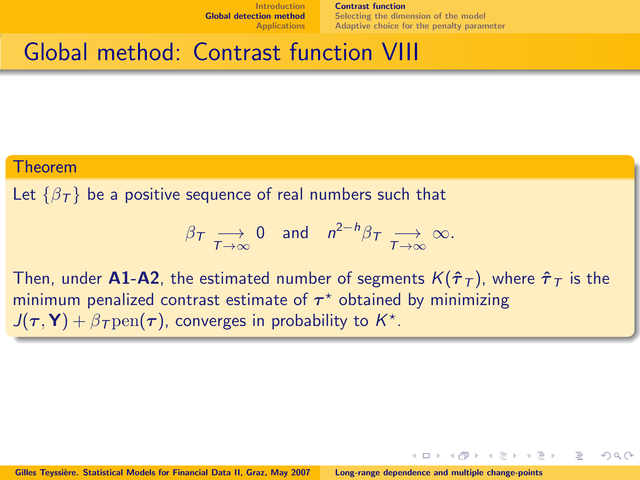[Contrast function](#page-23-0) [Selecting the dimension of the model](#page-31-0) [Adaptive choice for the penalty parameter](#page-32-0)

 $\leftarrow$   $\Box$   $\rightarrow$ 

 $\Omega$ 

## Global method: Contrast function VIII

#### Theorem

Let  $\{\beta_{\tau}\}\$  be a positive sequence of real numbers such that

$$
\beta_{\mathcal{T}} \underset{\mathcal{T} \to \infty}{\longrightarrow} 0 \quad \text{and} \quad n^{2-h} \beta_{\mathcal{T}} \underset{\mathcal{T} \to \infty}{\longrightarrow} \infty.
$$

Then, under A1-A2, the estimated number of segments  $K(\hat{\tau}_T)$ , where  $\hat{\tau}_T$  is the minimum penalized contrast estimate of  $\tau^*$  obtained by minimizing  $J(\tau, \mathbf{Y}) + \beta_{\tau}$  pen $(\tau)$ , converges in probability to  $K^*$ .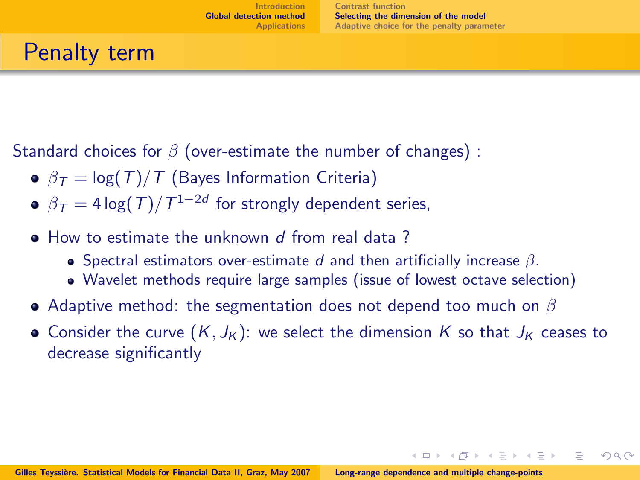イロト イ押ト イラト イラト

<span id="page-31-0"></span> $\Omega$ 

# Penalty term

Standard choices for  $\beta$  (over-estimate the number of changes) :

- $\theta = \beta_T = \log(T)/T$  (Bayes Information Criteria)
- $\beta_{\mathcal{T}}=4\log(T)/\mathcal{T}^{1-2d}$  for strongly dependent series,
- How to estimate the unknown d from real data?
	- Spectral estimators over-estimate d and then artificially increase  $\beta$ .
	- Wavelet methods require large samples (issue of lowest octave selection)
- Adaptive method: the segmentation does not depend too much on  $\beta$
- Consider the curve  $(K, J_K)$ : we select the dimension K so that  $J_K$  ceases to decrease significantly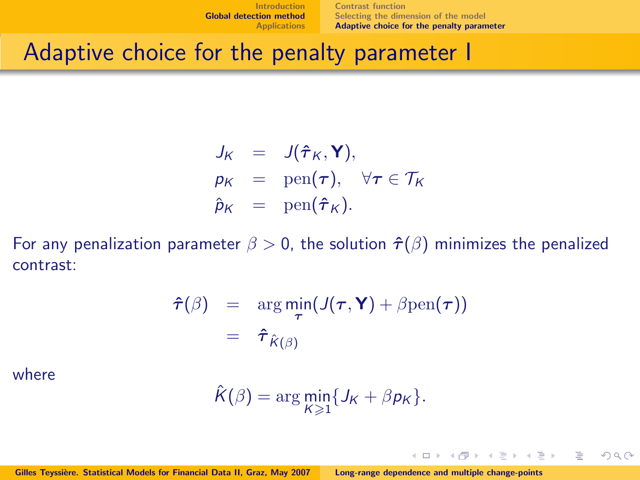[Contrast function](#page-23-0) [Selecting the dimension of the model](#page-31-0) [Adaptive choice for the penalty parameter](#page-32-0)

 $+$   $\Box$   $\rightarrow$   $+$   $\Box$   $\rightarrow$ 

 $\rightarrow \equiv \rightarrow$ Э×

<span id="page-32-0"></span> $\Omega$ 

## Adaptive choice for the penalty parameter I

$$
J_K = J(\hat{\tau}_K, \mathbf{Y}),
$$
  
\n
$$
p_K = \text{pen}(\boldsymbol{\tau}), \quad \forall \boldsymbol{\tau} \in \mathcal{T}_K
$$
  
\n
$$
\hat{p}_K = \text{pen}(\hat{\boldsymbol{\tau}}_K).
$$

For any penalization parameter  $\beta > 0$ , the solution  $\hat{\tau}(\beta)$  minimizes the penalized contrast:

$$
\hat{\boldsymbol{\tau}}(\beta) = \arg \min_{\boldsymbol{\tau}} (J(\boldsymbol{\tau}, \mathbf{Y}) + \beta \text{pen}(\boldsymbol{\tau}))
$$

$$
= \hat{\boldsymbol{\tau}}_{\hat{K}(\beta)}
$$

where

$$
\hat{K}(\beta) = \arg\min_{K\geq 1} \{J_K + \beta p_K\}.
$$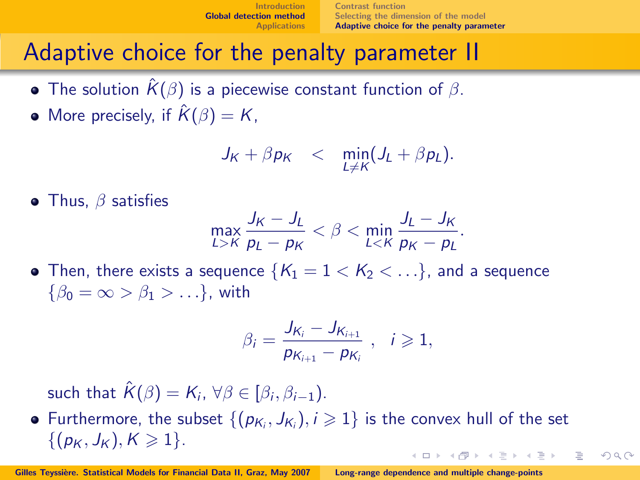[Contrast function](#page-23-0) [Selecting the dimension of the model](#page-31-0) [Adaptive choice for the penalty parameter](#page-32-0)

 $\Omega$ 

## Adaptive choice for the penalty parameter II

- The solution  $\hat{K}(\beta)$  is a piecewise constant function of  $\beta$ .
- More precisely, if  $\hat{K}(\beta) = K$ ,

$$
J_K + \beta p_K \quad < \quad \min_{L \neq K} (J_L + \beta p_L).
$$

• Thus,  $\beta$  satisfies

$$
\max_{L>K} \frac{J_K - J_L}{p_L - p_K} < \beta < \min_{L < K} \frac{J_L - J_K}{p_K - p_L}.
$$

• Then, there exists a sequence  $\{K_1 = 1 < K_2 < \ldots\}$ , and a sequence  $\{\beta_0 = \infty > \beta_1 > \ldots\}$ , with

$$
\beta_i = \frac{J_{K_i} - J_{K_{i+1}}}{p_{K_{i+1}} - p_{K_i}}, \quad i \geqslant 1,
$$

such that  $\hat{K}(\beta) = K_i$ ,  $\forall \beta \in [\beta_i, \beta_{i-1})$ .

Furthermore, the subset  $\{(p_{K_i}, J_{K_i}), i \geqslant 1\}$  is the convex hull of the set  $\{(p_K, J_K), K \geq 1\}.$  $\leftarrow$   $\Box$   $\rightarrow$   $\leftarrow$   $\leftarrow$   $\Box$   $\rightarrow$  $\rightarrow$   $\equiv$   $\rightarrow$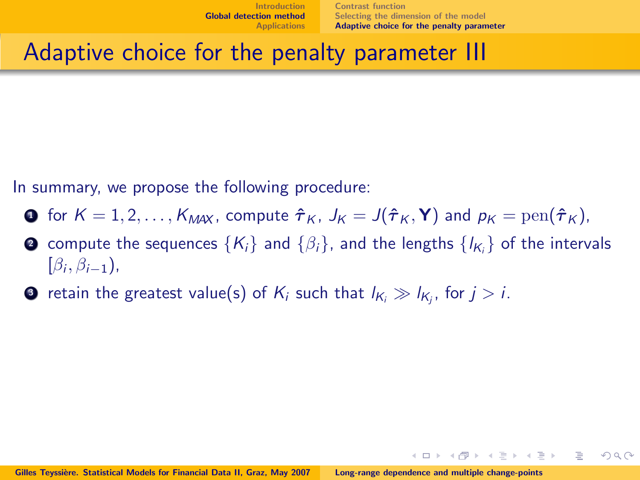[Contrast function](#page-23-0) [Selecting the dimension of the model](#page-31-0) [Adaptive choice for the penalty parameter](#page-32-0)

イロト イ押ト イラト イラト

 $\Omega \cap \Omega$ 

## Adaptive choice for the penalty parameter III

In summary, we propose the following procedure:

- **1** for  $K = 1, 2, ..., K_{\text{MAX}}$ , compute  $\hat{\tau}_K$ ,  $J_K = J(\hat{\tau}_K, \mathbf{Y})$  and  $p_K = \text{pen}(\hat{\tau}_K)$ ,
- $\bullet$  compute the sequences  $\{K_i\}$  and  $\{\beta_i\}$ , and the lengths  $\{\imath_{K_i}\}$  of the intervals  $[\beta_i, \beta_{i-1}),$
- $\bullet$  retain the greatest value(s) of  $\mathsf{K}_i$  such that  $\mathsf{I}_{\mathsf{K}_i} \gg \mathsf{I}_{\mathsf{K}_j}$ , for  $j > i.$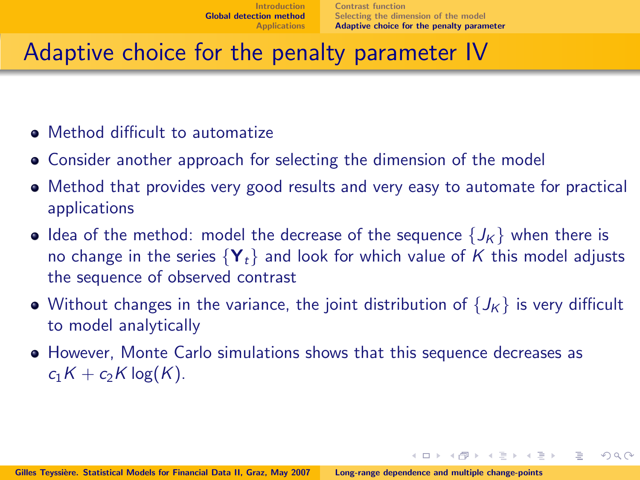イロト イ押ト イラト イラト

 $\Omega$ 

# Adaptive choice for the penalty parameter IV

- Method difficult to automatize
- Consider another approach for selecting the dimension of the model
- Method that provides very good results and very easy to automate for practical applications
- Idea of the method: model the decrease of the sequence  $\{J_K\}$  when there is no change in the series  $\{Y_t\}$  and look for which value of K this model adjusts the sequence of observed contrast
- Without changes in the variance, the joint distribution of  $\{J_K\}$  is very difficult to model analytically
- However, Monte Carlo simulations shows that this sequence decreases as  $c_1K + c_2K \log(K)$ .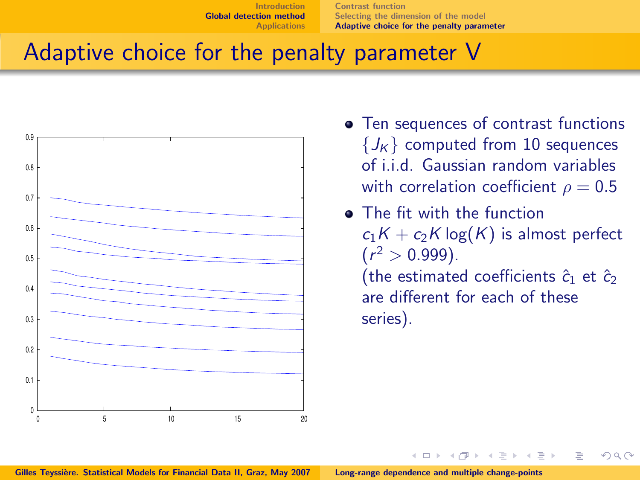[Contrast function](#page-23-0) [Selecting the dimension of the model](#page-31-0) [Adaptive choice for the penalty parameter](#page-32-0)

 $\leftarrow$   $\Box$   $\rightarrow$ 

## Adaptive choice for the penalty parameter V



- Ten sequences of contrast functions  ${J<sub>K</sub>}$  computed from 10 sequences of i.i.d. Gaussian random variables with correlation coefficient  $\rho = 0.5$
- **•** The fit with the function  $c_1K + c_2K \log(K)$  is almost perfect  $(r^2 > 0.999)$ .

(the estimated coefficients  $\hat{c}_1$  et  $\hat{c}_2$ are different for each of these series).

つのへ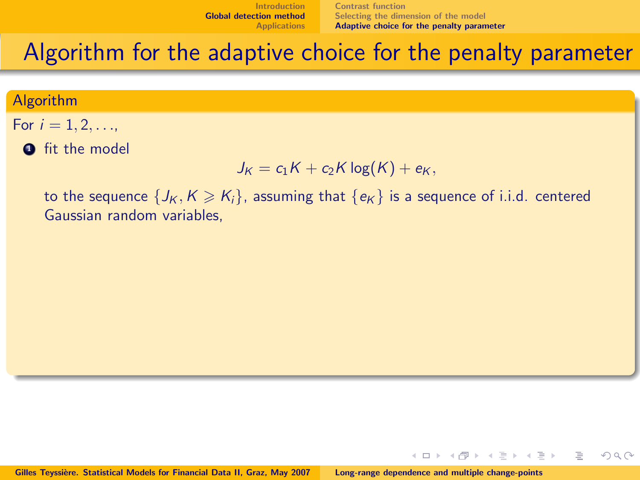[Contrast function](#page-23-0) [Selecting the dimension of the model](#page-31-0) [Adaptive choice for the penalty parameter](#page-32-0)

 $\leftarrow$   $\Box$   $\rightarrow$ 

 $\Omega$ 

## Algorithm for the adaptive choice for the penalty parameter

#### Algorithm

- For  $i = 1, 2, ...$ 
	- **O** fit the model

$$
J_K = c_1 K + c_2 K \log(K) + e_K,
$$

to the sequence  $\{J_K, K \ge K_i\}$ , assuming that  $\{\epsilon_K\}$  is a sequence of i.i.d. centered Gaussian random variables,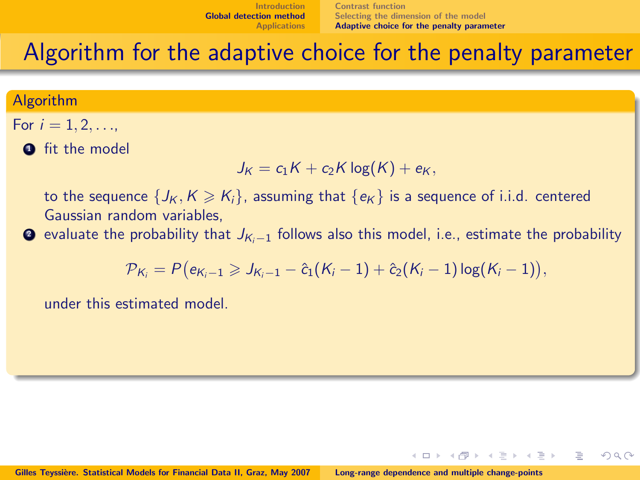$\leftarrow$   $\Box$   $\rightarrow$ 

 $\Omega$ 

### Algorithm for the adaptive choice for the penalty parameter

#### Algorithm

For 
$$
i = 1, 2, ...,
$$

**O** fit the model

$$
J_K = c_1 K + c_2 K \log(K) + e_K,
$$

to the sequence  $\{J_K, K \geqslant K_i\}$ , assuming that  $\{\epsilon_K\}$  is a sequence of i.i.d. centered Gaussian random variables,

 $\bullet$  evaluate the probability that  $J_{K-1}$  follows also this model, i.e., estimate the probability

$$
\mathcal{P}_{K_i} = P(e_{K_i-1} \geqslant J_{K_i-1} - \hat{c}_1(K_i-1) + \hat{c}_2(K_i-1)\log(K_i-1)),
$$

under this estimated model.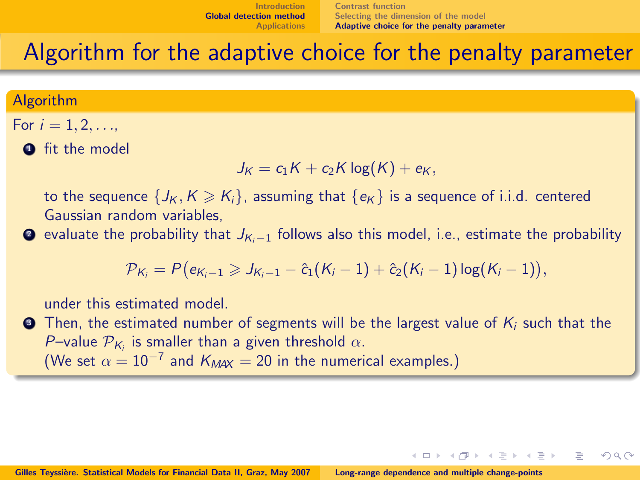$\leftarrow$   $\Box$   $\rightarrow$ 

 $\Omega$ 

### Algorithm for the adaptive choice for the penalty parameter

#### Algorithm

For 
$$
i = 1, 2, ...,
$$

**O** fit the model

$$
J_K = c_1 K + c_2 K \log(K) + e_K,
$$

to the sequence  $\{J_K, K \geqslant K_i\}$ , assuming that  $\{\epsilon_K\}$  is a sequence of i.i.d. centered Gaussian random variables,

 $\bullet$  evaluate the probability that  $J_{K-1}$  follows also this model, i.e., estimate the probability

$$
\mathcal{P}_{K_i} = P(e_{K_i-1} \geqslant J_{K_i-1} - \hat{c}_1(K_i-1) + \hat{c}_2(K_i-1)\log(K_i-1)),
$$

under this estimated model.

 $\bullet$  Then, the estimated number of segments will be the largest value of  $K_i$  such that the P-value  $\mathcal{P}_{K_i}$  is smaller than a given threshold  $\alpha$ . (We set  $\alpha = 10^{-7}$  and  $K_{\text{MAX}} = 20$  in the numerical examples.)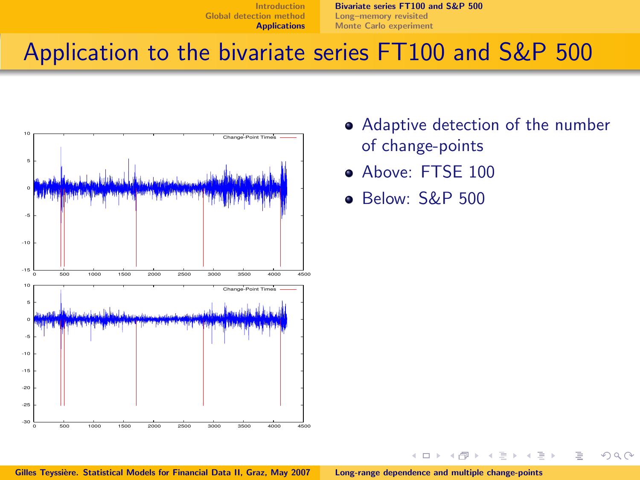[Bivariate series FT100 and S&P 500](#page-40-0) [Long–memory revisited](#page-46-0) [Monte Carlo experiment](#page-48-0)

## Application to the bivariate series FT100 and S&P 500



- Adaptive detection of the number of change-points
- Above: FTSE 100
- Below: S&P 500

 $\leftarrow$   $\Box$   $\rightarrow$ 

<span id="page-40-0"></span> $\Omega \cap \Omega$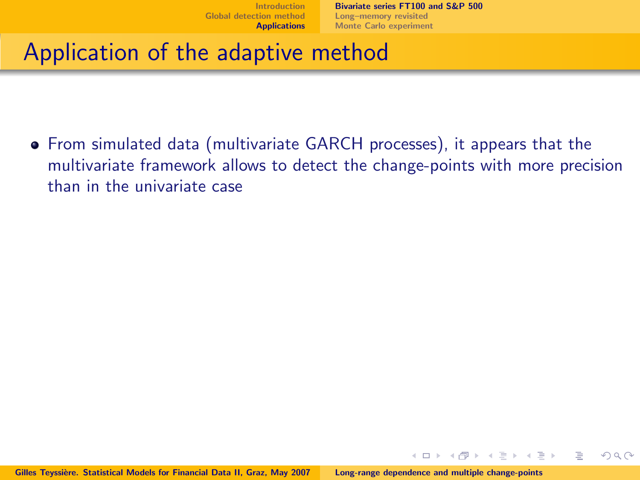[Bivariate series FT100 and S&P 500](#page-40-0) [Long–memory revisited](#page-46-0) [Monte Carlo experiment](#page-48-0)

 $\leftarrow$   $\Box$   $\rightarrow$ 

 $\Omega$ 

## Application of the adaptive method

From simulated data (multivariate GARCH processes), it appears that the multivariate framework allows to detect the change-points with more precision than in the univariate case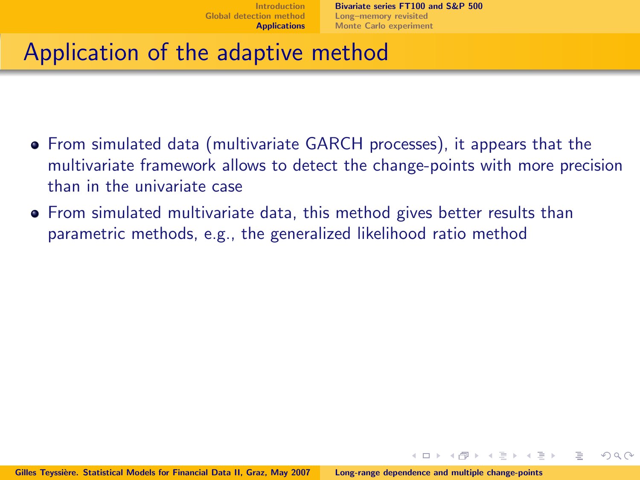$\Omega$ 

- From simulated data (multivariate GARCH processes), it appears that the multivariate framework allows to detect the change-points with more precision than in the univariate case
- From simulated multivariate data, this method gives better results than parametric methods, e.g., the generalized likelihood ratio method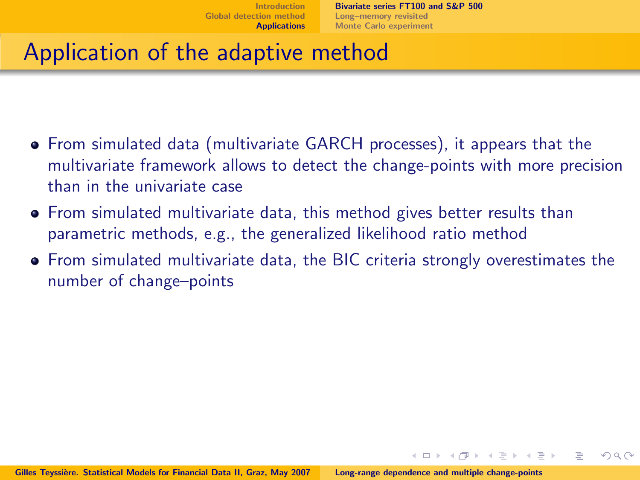$\Omega$ 

- From simulated data (multivariate GARCH processes), it appears that the multivariate framework allows to detect the change-points with more precision than in the univariate case
- From simulated multivariate data, this method gives better results than parametric methods, e.g., the generalized likelihood ratio method
- From simulated multivariate data, the BIC criteria strongly overestimates the number of change–points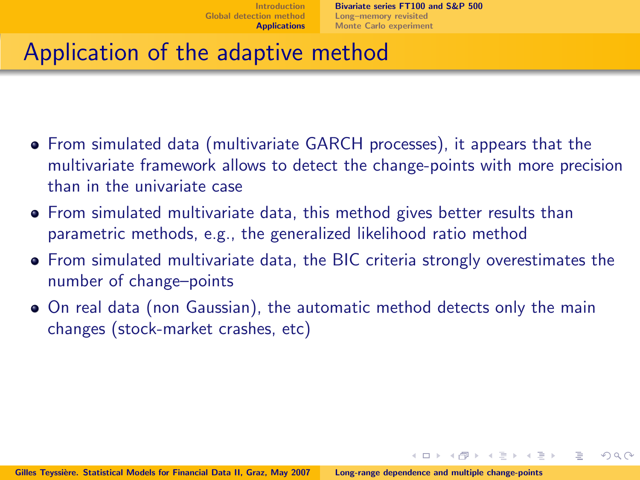$\Omega$ 

- From simulated data (multivariate GARCH processes), it appears that the multivariate framework allows to detect the change-points with more precision than in the univariate case
- From simulated multivariate data, this method gives better results than parametric methods, e.g., the generalized likelihood ratio method
- From simulated multivariate data, the BIC criteria strongly overestimates the number of change–points
- On real data (non Gaussian), the automatic method detects only the main changes (stock-market crashes, etc)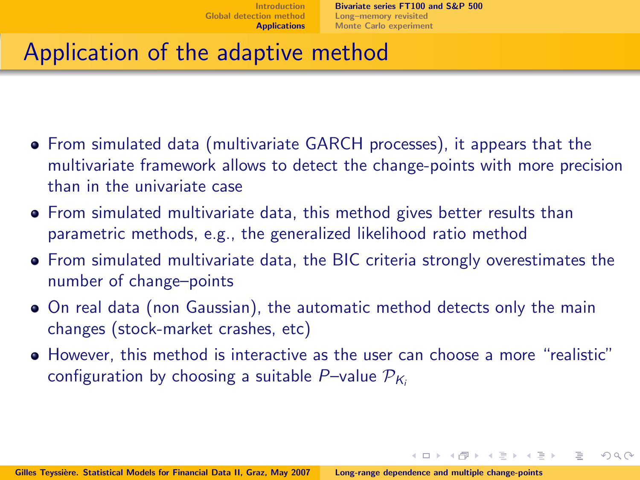イロト イ押ト イラト イラト

 $\Omega$ 

- From simulated data (multivariate GARCH processes), it appears that the multivariate framework allows to detect the change-points with more precision than in the univariate case
- From simulated multivariate data, this method gives better results than parametric methods, e.g., the generalized likelihood ratio method
- From simulated multivariate data, the BIC criteria strongly overestimates the number of change–points
- On real data (non Gaussian), the automatic method detects only the main changes (stock-market crashes, etc)
- However, this method is interactive as the user can choose a more "realistic" configuration by choosing a suitable P–value  $\mathcal{P}_{K_i}$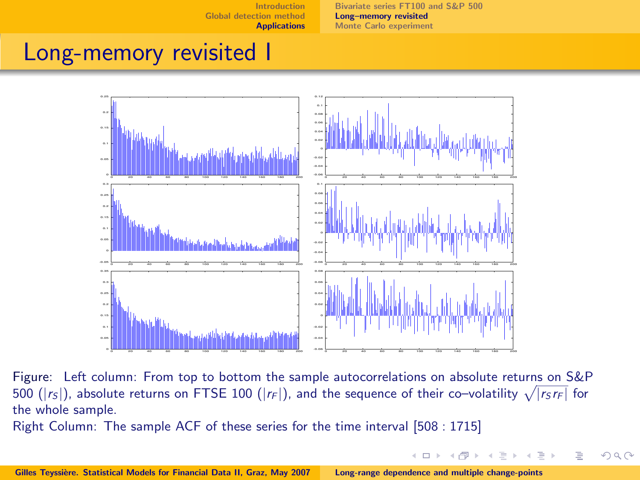[Bivariate series FT100 and S&P 500](#page-40-0) [Long–memory revisited](#page-46-0) [Monte Carlo experiment](#page-48-0)

<span id="page-46-0"></span> $QQ$ 

### Long-memory revisited I



Figure: Left column: From top to bottom the sample autocorrelations on absolute returns on S&P 500 ( $|r_S|$ ), absolute returns on FTSE 100 ( $|r_F|$ ), and the sequence of their co-volatility  $\sqrt{|r_S r_F|}$  for the whole sample.

Right Column: The sample ACF of these series for the time interval [508 : 1715]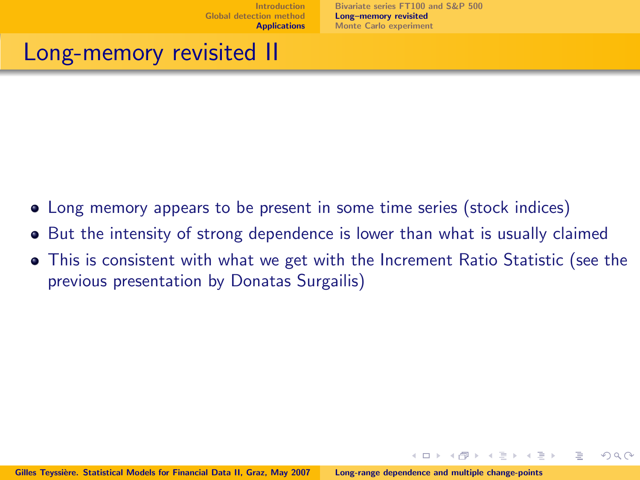$\leftarrow$   $\Box$   $\rightarrow$ 

 $\Omega \cap \Omega$ 

### Long-memory revisited II

- Long memory appears to be present in some time series (stock indices)
- But the intensity of strong dependence is lower than what is usually claimed
- This is consistent with what we get with the Increment Ratio Statistic (see the previous presentation by Donatas Surgailis)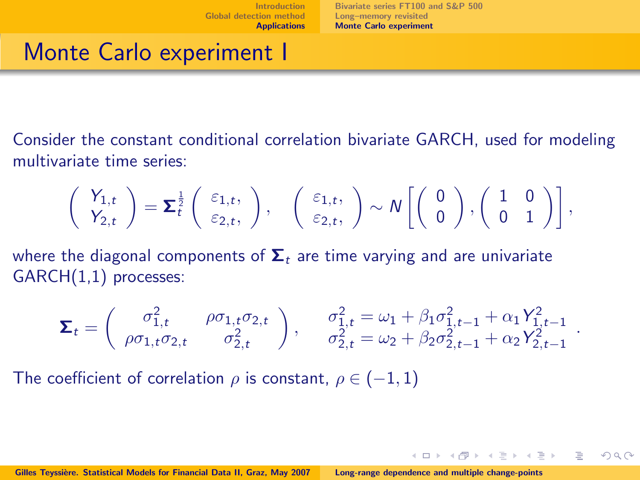$\exists x \in \mathbb{R} \Rightarrow x \in \exists x \in \mathbb{R}$ 

<span id="page-48-0"></span> $\Omega$ 

## Monte Carlo experiment I

Consider the constant conditional correlation bivariate GARCH, used for modeling multivariate time series:

$$
\left(\begin{array}{c} Y_{1,t} \\ Y_{2,t} \end{array}\right)=\boldsymbol{\Sigma}\frac{1}{t}\left(\begin{array}{c} \varepsilon_{1,t}, \\ \varepsilon_{2,t}, \end{array}\right), \quad \left(\begin{array}{c} \varepsilon_{1,t}, \\ \varepsilon_{2,t}, \end{array}\right)\sim N\left[\left(\begin{array}{c} 0 \\ 0 \end{array}\right),\left(\begin{array}{cc} 1 & 0 \\ 0 & 1 \end{array}\right)\right],
$$

where the diagonal components of  $\Sigma_t$  are time varying and are univariate GARCH(1,1) processes:

$$
\Sigma_t = \begin{pmatrix} \sigma_{1,t}^2 & \rho \sigma_{1,t} \sigma_{2,t} \\ \rho \sigma_{1,t} \sigma_{2,t} & \sigma_{2,t}^2 \end{pmatrix}, \qquad \sigma_{1,t}^2 = \omega_1 + \beta_1 \sigma_{1,t-1}^2 + \alpha_1 Y_{1,t-1}^2
$$

$$
\sigma_{2,t}^2 = \omega_2 + \beta_2 \sigma_{2,t-1}^2 + \alpha_2 Y_{2,t-1}^2
$$

The coefficient of correlation  $\rho$  is constant,  $\rho \in (-1,1)$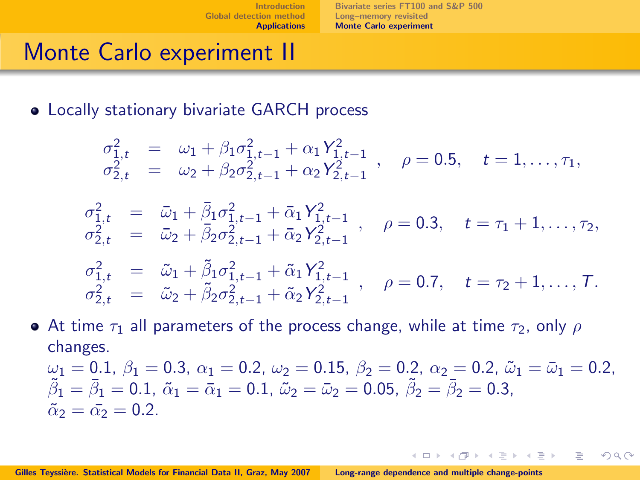[Bivariate series FT100 and S&P 500](#page-40-0) [Long–memory revisited](#page-46-0) [Monte Carlo experiment](#page-48-0)

> 4 0 1 - 4 - 同一 >

 $\Omega$ 

## Monte Carlo experiment II

Locally stationary bivariate GARCH process

$$
\begin{array}{rcl}\n\sigma_{1,t}^2 &=& \omega_1 + \beta_1 \sigma_{1,t-1}^2 + \alpha_1 Y_{1,t-1}^2 \\
\sigma_{2,t}^2 &=& \omega_2 + \beta_2 \sigma_{2,t-1}^2 + \alpha_2 Y_{2,t-1}^2\n\end{array}, \quad \rho = 0.5, \quad t = 1, \ldots, \tau_1,
$$

$$
\begin{array}{rcl}\n\sigma_{1,t}^2 &=& \bar{\omega}_1 + \bar{\beta}_1 \sigma_{1,t-1}^2 + \bar{\alpha}_1 Y_{1,t-1}^2 \\
\sigma_{2,t}^2 &=& \bar{\omega}_2 + \bar{\beta}_2 \sigma_{2,t-1}^2 + \bar{\alpha}_2 Y_{2,t-1}^2\n\end{array}, \quad \rho = 0.3, \quad t = \tau_1 + 1, \ldots, \tau_2,
$$

$$
\begin{array}{rcl}\n\sigma_{1,t}^2 &=& \tilde{\omega}_1 + \tilde{\beta}_1 \sigma_{1,t-1}^2 + \tilde{\alpha}_1 Y_{1,t-1}^2 \\
\sigma_{2,t}^2 &=& \tilde{\omega}_2 + \tilde{\beta}_2 \sigma_{2,t-1}^2 + \tilde{\alpha}_2 Y_{2,t-1}^2\n\end{array}, \quad \rho = 0.7, \quad t = \tau_2 + 1, \ldots, T.
$$

• At time 
$$
\tau_1
$$
 all parameters of the process change, while at time  $\tau_2$ , only  $\rho$  changes.  
\n $\omega_1 = 0.1$ ,  $\beta_1 = 0.3$ ,  $\alpha_1 = 0.2$ ,  $\omega_2 = 0.15$ ,  $\beta_2 = 0.2$ ,  $\alpha_2 = 0.2$ ,  $\tilde{\omega}_1 = \bar{\omega}_1 = 0.2$ ,  $\tilde{\beta}_1 = \bar{\beta}_1 = 0.1$ ,  $\tilde{\alpha}_1 = \bar{\alpha}_1 = 0.1$ ,  $\tilde{\omega}_2 = \bar{\omega}_2 = 0.05$ ,  $\tilde{\beta}_2 = \bar{\beta}_2 = 0.3$ ,  $\tilde{\alpha}_2 = \bar{\alpha}_2 = 0.2$ .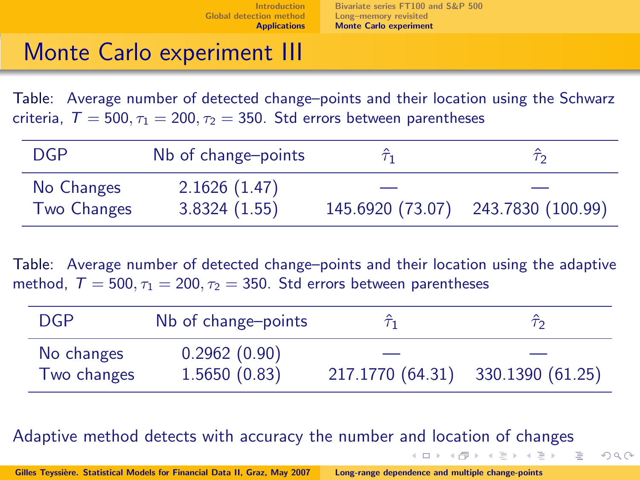# Monte Carlo experiment III

Table: Average number of detected change–points and their location using the Schwarz criteria,  $T = 500$ ,  $\tau_1 = 200$ ,  $\tau_2 = 350$ . Std errors between parentheses

| <b>DGP</b>         | Nb of change-points |                  |                   |
|--------------------|---------------------|------------------|-------------------|
| No Changes         | 2.1626(1.47)        |                  |                   |
| <b>Two Changes</b> | 3.8324(1.55)        | 145.6920 (73.07) | 243.7830 (100.99) |

Table: Average number of detected change–points and their location using the adaptive method.  $T = 500$ ,  $\tau_1 = 200$ ,  $\tau_2 = 350$ . Std errors between parentheses

| <b>DGP</b>  | Nb of change-points |                                   | <del>ر ژ</del> |
|-------------|---------------------|-----------------------------------|----------------|
| No changes  | 0.2962(0.90)        |                                   |                |
| Two changes | 1.5650(0.83)        | 217.1770 (64.31) 330.1390 (61.25) |                |

 $(0,1)$   $(0,1)$   $(0,1)$   $(1,1)$   $(1,1)$   $(1,1)$   $(1,1)$   $(1,1)$   $(1,1)$   $(1,1)$   $(1,1)$   $(1,1)$ 

E.

 $QQ$ 

Adaptive method detects with accuracy the number and location of changes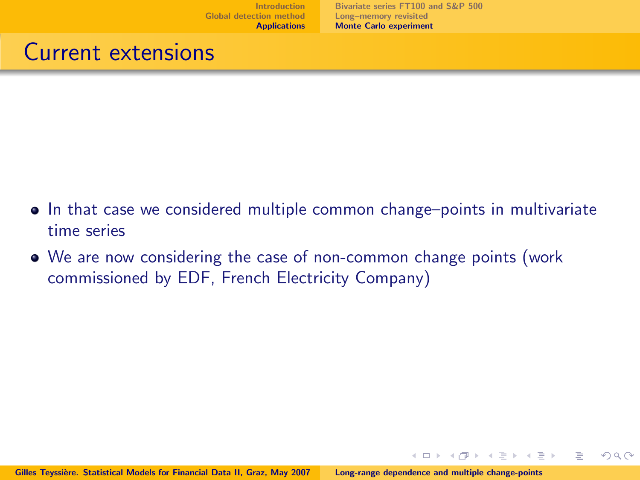$\leftarrow$   $\Box$   $\rightarrow$ 

イヨト

 $\Omega$ 

### Current extensions

- In that case we considered multiple common change–points in multivariate time series
- We are now considering the case of non-common change points (work commissioned by EDF, French Electricity Company)